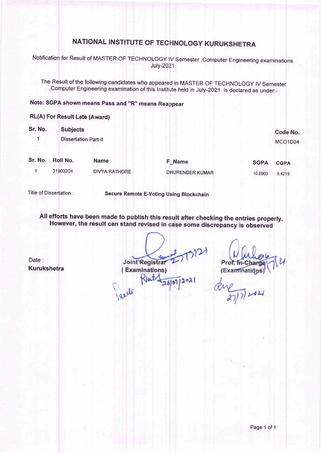# NATIONAL INSTITUTE OF TECHNOLOGY KURUKSHETRA

Notification for Result of MASTER OF TECHNOLOGY IV Semester , Computer Engineering examinations July-2021

The Result of the following candidates who appeared in MASTER OF TECHNOLOGY IV Semester ,Computer Engineering examination of this Institute held in July-2021 is declared as under:-

#### Note: SGPA shown means Pass and "R" means Reappear

 $\overline{)}$ 

I

#### RL(A) For Result Late (Award)

| Sr. No. | <b>Subjects</b>             |                      |                        |             |             |
|---------|-----------------------------|----------------------|------------------------|-------------|-------------|
|         | <b>Dissertation Part-II</b> |                      | Code No.<br>MCO1D04    |             |             |
| Sr. No. | Roll No.                    | <b>Name</b>          | F Name                 | <b>SGPA</b> | <b>CGPA</b> |
|         | 31903204                    | <b>DIVYA RATHORE</b> | <b>DHURENDER KUMAR</b> | 10.0000     | 9.4219      |

Title of Dissertation :

Secure Remote E-Voting Using Blockchain

All efforts have been made to publish this result after checking the entries properly. However, the result can stand revised in case some discrepancy is observed

Date : Kurukshetra

 $D12$ Joint Registrar (Examinations) Rlat-

 $|202|$ 

Prof. In-Ch (Examinatio